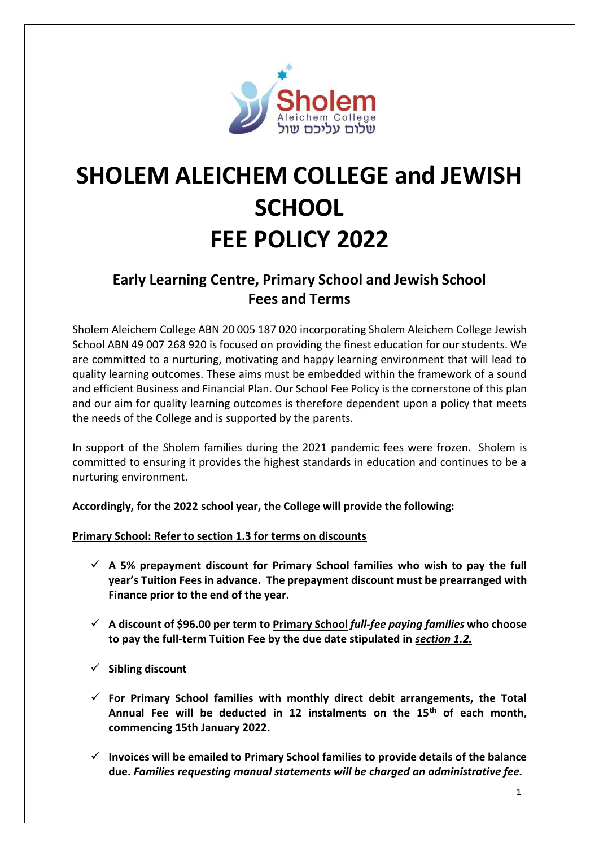

# **SHOLEM ALEICHEM COLLEGE and JEWISH SCHOOL FEE POLICY 2022**

# **Early Learning Centre, Primary School and Jewish School Fees and Terms**

Sholem Aleichem College ABN 20 005 187 020 incorporating Sholem Aleichem College Jewish School ABN 49 007 268 920 is focused on providing the finest education for our students. We are committed to a nurturing, motivating and happy learning environment that will lead to quality learning outcomes. These aims must be embedded within the framework of a sound and efficient Business and Financial Plan. Our School Fee Policy is the cornerstone of this plan and our aim for quality learning outcomes is therefore dependent upon a policy that meets the needs of the College and is supported by the parents.

In support of the Sholem families during the 2021 pandemic fees were frozen. Sholem is committed to ensuring it provides the highest standards in education and continues to be a nurturing environment.

**Accordingly, for the 2022 school year, the College will provide the following:** 

**Primary School: Refer to section 1.3 for terms on discounts**

- ✓ **A 5% prepayment discount for Primary School families who wish to pay the full year's Tuition Fees in advance. The prepayment discount must be prearranged with Finance prior to the end of the year.**
- ✓ **A discount of \$96.00 per term to Primary School** *full-fee paying families* **who choose to pay the full-term Tuition Fee by the due date stipulated in** *section 1.2.*
- ✓ **Sibling discount**
- ✓ **For Primary School families with monthly direct debit arrangements, the Total Annual Fee will be deducted in 12 instalments on the 15th of each month, commencing 15th January 2022.**
- ✓ **Invoices will be emailed to Primary School families to provide details of the balance due.** *Families requesting manual statements will be charged an administrative fee.*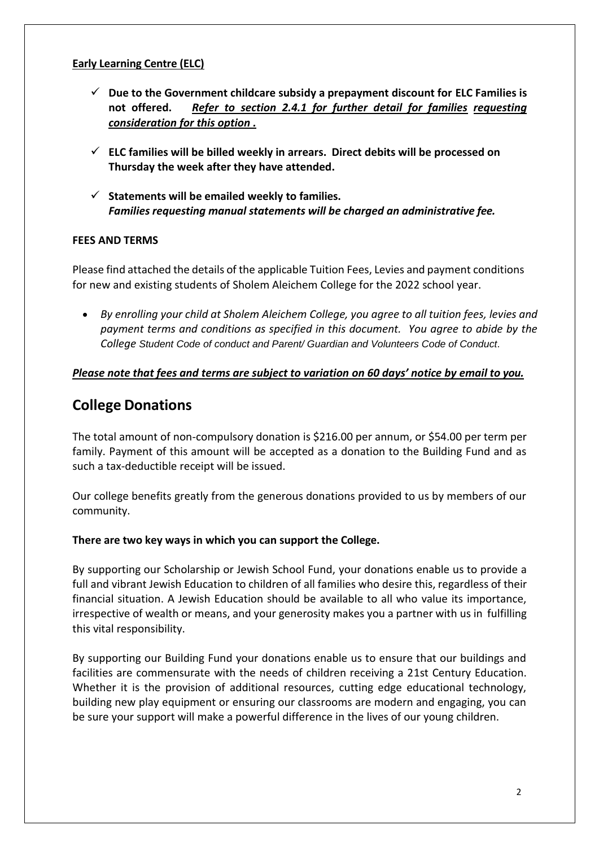#### **Early Learning Centre (ELC)**

- ✓ **Due to the Government childcare subsidy a prepayment discount for ELC Families is not offered.** *Refer to section 2.4.1 for further detail for families requesting consideration for this option .*
- ✓ **ELC families will be billed weekly in arrears. Direct debits will be processed on Thursday the week after they have attended.**
- ✓ **Statements will be emailed weekly to families.** *Families requesting manual statements will be charged an administrative fee.*

#### **FEES AND TERMS**

Please find attached the details of the applicable Tuition Fees, Levies and payment conditions for new and existing students of Sholem Aleichem College for the 2022 school year.

• *By enrolling your child at Sholem Aleichem College, you agree to all tuition fees, levies and payment terms and conditions as specified in this document. You agree to abide by the College Student Code of conduct and Parent/ Guardian and Volunteers Code of Conduct.*

#### *Please note that fees and terms are subject to variation on 60 days' notice by email to you.*

### **College Donations**

The total amount of non-compulsory donation is \$216.00 per annum, or \$54.00 per term per family. Payment of this amount will be accepted as a donation to the Building Fund and as such a tax-deductible receipt will be issued.

Our college benefits greatly from the generous donations provided to us by members of our community.

#### **There are two key ways in which you can support the College.**

By supporting our Scholarship or Jewish School Fund, your donations enable us to provide a full and vibrant Jewish Education to children of all families who desire this, regardless of their financial situation. A Jewish Education should be available to all who value its importance, irrespective of wealth or means, and your generosity makes you a partner with us in fulfilling this vital responsibility.

By supporting our Building Fund your donations enable us to ensure that our buildings and facilities are commensurate with the needs of children receiving a 21st Century Education. Whether it is the provision of additional resources, cutting edge educational technology, building new play equipment or ensuring our classrooms are modern and engaging, you can be sure your support will make a powerful difference in the lives of our young children.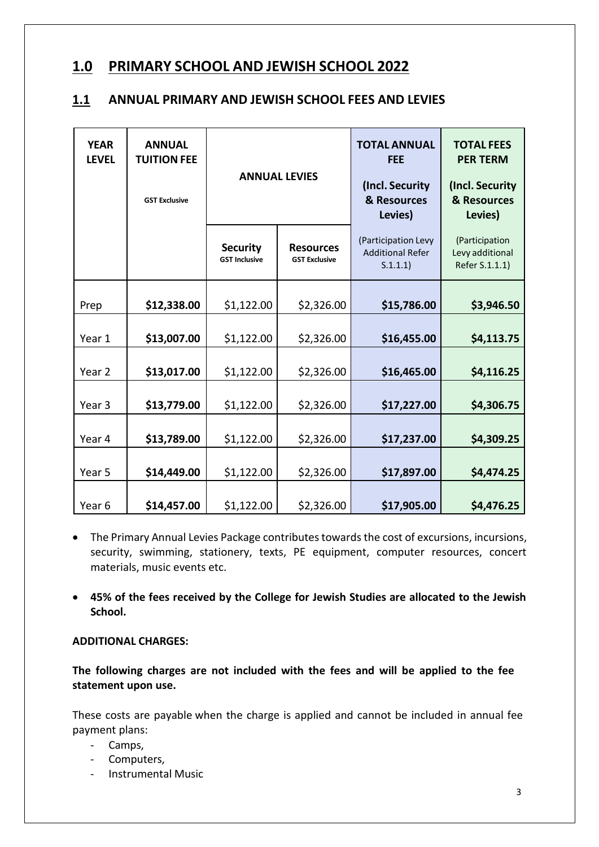### **1.0 PRIMARY SCHOOL AND JEWISH SCHOOL 2022**

#### **1.1 ANNUAL PRIMARY AND JEWISH SCHOOL FEES AND LEVIES**

| <b>YEAR</b><br><b>LEVEL</b> | <b>ANNUAL</b><br><b>TUITION FEE</b><br><b>GST Exclusive</b> | <b>ANNUAL LEVIES</b>                    |                                          | <b>TOTAL ANNUAL</b><br><b>FEE</b><br>(Incl. Security<br>& Resources<br>Levies) | <b>TOTAL FEES</b><br><b>PER TERM</b><br>(Incl. Security<br>& Resources<br>Levies) |
|-----------------------------|-------------------------------------------------------------|-----------------------------------------|------------------------------------------|--------------------------------------------------------------------------------|-----------------------------------------------------------------------------------|
|                             |                                                             | <b>Security</b><br><b>GST Inclusive</b> | <b>Resources</b><br><b>GST Exclusive</b> | (Participation Levy<br><b>Additional Refer</b><br>S.1.1.1)                     | (Participation<br>Levy additional<br>Refer S.1.1.1)                               |
| Prep                        | \$12,338.00                                                 | \$1,122.00                              | \$2,326.00                               | \$15,786.00                                                                    | \$3,946.50                                                                        |
| Year 1                      | \$13,007.00                                                 | \$1,122.00                              | \$2,326.00                               | \$16,455.00                                                                    | \$4,113.75                                                                        |
| Year <sub>2</sub>           | \$13,017.00                                                 | \$1,122.00                              | \$2,326.00                               | \$16,465.00                                                                    | \$4,116.25                                                                        |
| Year <sub>3</sub>           | \$13,779.00                                                 | \$1,122.00                              | \$2,326.00                               | \$17,227.00                                                                    | \$4,306.75                                                                        |
| Year 4                      | \$13,789.00                                                 | \$1,122.00                              | \$2,326.00                               | \$17,237.00                                                                    | \$4,309.25                                                                        |
| Year 5                      | \$14,449.00                                                 | \$1,122.00                              | \$2,326.00                               | \$17,897.00                                                                    | \$4,474.25                                                                        |
| Year <sub>6</sub>           | \$14,457.00                                                 | \$1,122.00                              | \$2,326.00                               | \$17,905.00                                                                    | \$4,476.25                                                                        |

- The Primary Annual Levies Package contributes towards the cost of excursions, incursions, security, swimming, stationery, texts, PE equipment, computer resources, concert materials, music events etc.
- **45% of the fees received by the College for Jewish Studies are allocated to the Jewish School.**

#### **ADDITIONAL CHARGES:**

**The following charges are not included with the fees and will be applied to the fee statement upon use.**

These costs are payable when the charge is applied and cannot be included in annual fee payment plans:

- Camps,
- Computers,
- Instrumental Music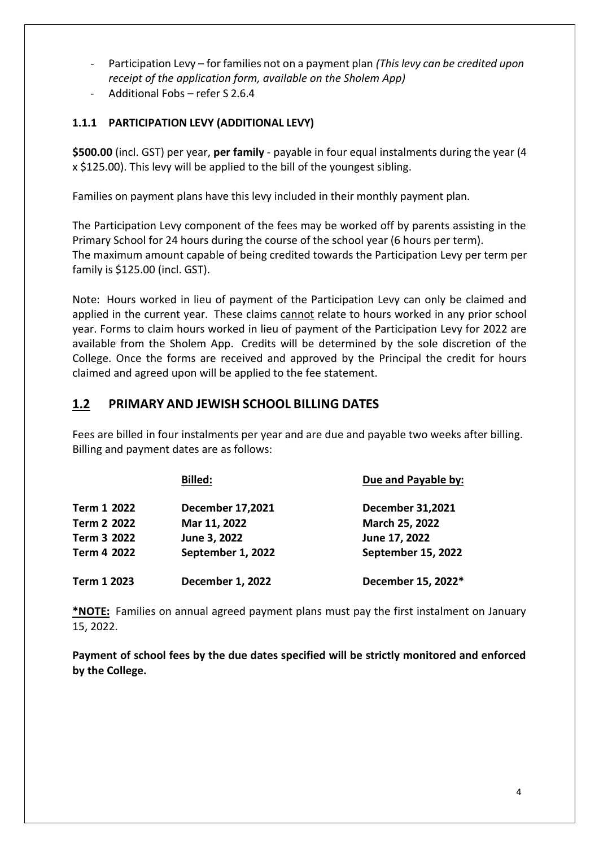- Participation Levy for families not on a payment plan *(This levy can be credited upon receipt of the application form, available on the Sholem App)*
- Additional Fobs refer S 2.6.4

#### **1.1.1 PARTICIPATION LEVY (ADDITIONAL LEVY)**

**\$500.00** (incl. GST) per year, **per family** - payable in four equal instalments during the year (4 x \$125.00). This levy will be applied to the bill of the youngest sibling.

Families on payment plans have this levy included in their monthly payment plan.

The Participation Levy component of the fees may be worked off by parents assisting in the Primary School for 24 hours during the course of the school year (6 hours per term). The maximum amount capable of being credited towards the Participation Levy per term per family is \$125.00 (incl. GST).

Note: Hours worked in lieu of payment of the Participation Levy can only be claimed and applied in the current year. These claims cannot relate to hours worked in any prior school year. Forms to claim hours worked in lieu of payment of the Participation Levy for 2022 are available from the Sholem App. Credits will be determined by the sole discretion of the College. Once the forms are received and approved by the Principal the credit for hours claimed and agreed upon will be applied to the fee statement.

### **1.2 PRIMARY AND JEWISH SCHOOL BILLING DATES**

Fees are billed in four instalments per year and are due and payable two weeks after billing. Billing and payment dates are as follows:

|             | <b>Billed:</b>          | Due and Payable by:     |
|-------------|-------------------------|-------------------------|
| Term 1 2022 | <b>December 17,2021</b> | <b>December 31,2021</b> |
| Term 2 2022 | Mar 11, 2022            | March 25, 2022          |
| Term 3 2022 | June 3, 2022            | June 17, 2022           |
| Term 4 2022 | September 1, 2022       | September 15, 2022      |
| Term 1 2023 | <b>December 1, 2022</b> | December 15, 2022*      |

**\*NOTE:** Families on annual agreed payment plans must pay the first instalment on January 15, 2022.

**Payment of school fees by the due dates specified will be strictly monitored and enforced by the College.**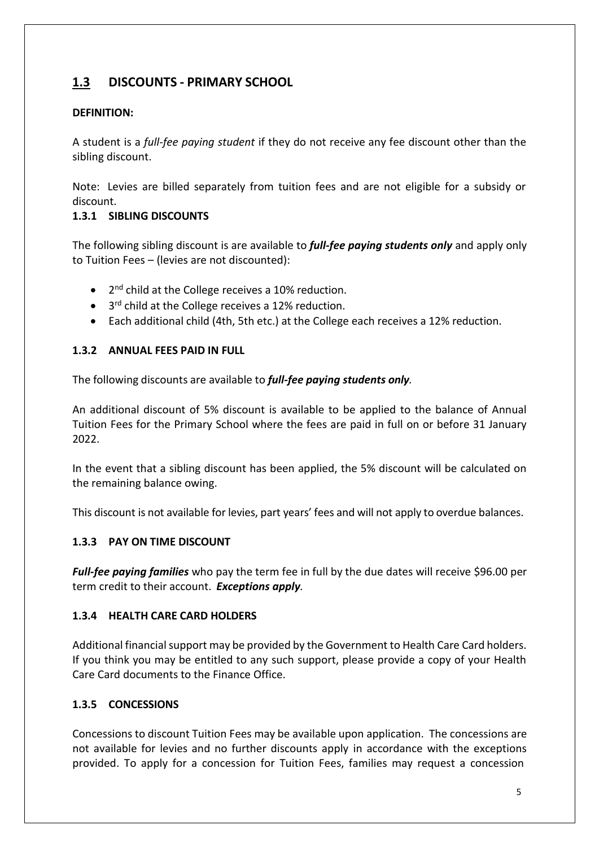### **1.3 DISCOUNTS - PRIMARY SCHOOL**

#### **DEFINITION:**

A student is a *full-fee paying student* if they do not receive any fee discount other than the sibling discount.

Note: Levies are billed separately from tuition fees and are not eligible for a subsidy or discount.

#### **1.3.1 SIBLING DISCOUNTS**

The following sibling discount is are available to *full-fee paying students only* and apply only to Tuition Fees – (levies are not discounted):

- 2<sup>nd</sup> child at the College receives a 10% reduction.
- 3<sup>rd</sup> child at the College receives a 12% reduction.
- Each additional child (4th, 5th etc.) at the College each receives a 12% reduction.

#### **1.3.2 ANNUAL FEES PAID IN FULL**

The following discounts are available to *full-fee paying students only.*

An additional discount of 5% discount is available to be applied to the balance of Annual Tuition Fees for the Primary School where the fees are paid in full on or before 31 January 2022.

In the event that a sibling discount has been applied, the 5% discount will be calculated on the remaining balance owing.

This discount is not available for levies, part years' fees and will not apply to overdue balances.

#### **1.3.3 PAY ON TIME DISCOUNT**

*Full-fee paying families* who pay the term fee in full by the due dates will receive \$96.00 per term credit to their account. *Exceptions apply.*

#### **1.3.4 HEALTH CARE CARD HOLDERS**

Additional financialsupport may be provided by the Government to Health Care Card holders. If you think you may be entitled to any such support, please provide a copy of your Health Care Card documents to the Finance Office.

#### **1.3.5 CONCESSIONS**

Concessions to discount Tuition Fees may be available upon application. The concessions are not available for levies and no further discounts apply in accordance with the exceptions provided. To apply for a concession for Tuition Fees, families may request a concession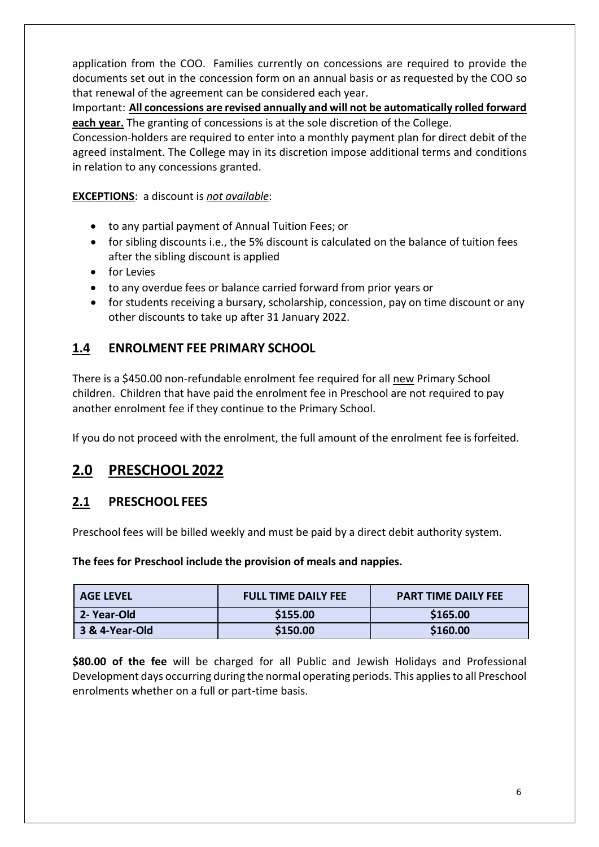application from the COO. Families currently on concessions are required to provide the documents set out in the concession form on an annual basis or as requested by the COO so that renewal of the agreement can be considered each year.

Important: **All concessions are revised annually and will not be automatically rolled forward each year.** The granting of concessions is at the sole discretion of the College.

Concession-holders are required to enter into a monthly payment plan for direct debit of the agreed instalment. The College may in its discretion impose additional terms and conditions in relation to any concessions granted.

**EXCEPTIONS**: a discount is *not available*:

- to any partial payment of Annual Tuition Fees; or
- for sibling discounts i.e., the 5% discount is calculated on the balance of tuition fees after the sibling discount is applied
- for Levies
- to any overdue fees or balance carried forward from prior years or
- for students receiving a bursary, scholarship, concession, pay on time discount or any other discounts to take up after 31 January 2022.

### **1.4 ENROLMENT FEE PRIMARY SCHOOL**

There is a \$450.00 non-refundable enrolment fee required for all new Primary School children. Children that have paid the enrolment fee in Preschool are not required to pay another enrolment fee if they continue to the Primary School.

If you do not proceed with the enrolment, the full amount of the enrolment fee is forfeited.

# **2.0 PRESCHOOL 2022**

### **2.1 PRESCHOOL FEES**

Preschool fees will be billed weekly and must be paid by a direct debit authority system.

#### **The fees for Preschool include the provision of meals and nappies.**

| <b>AGE LEVEL</b> | <b>FULL TIME DAILY FEE</b> | <b>PART TIME DAILY FEE</b> |
|------------------|----------------------------|----------------------------|
| 2- Year-Old      | \$155.00                   | \$165.00                   |
| 3 & 4-Year-Old   | \$150.00                   | \$160.00                   |

**\$80.00 of the fee** will be charged for all Public and Jewish Holidays and Professional Development days occurring during the normal operating periods. This applies to all Preschool enrolments whether on a full or part-time basis.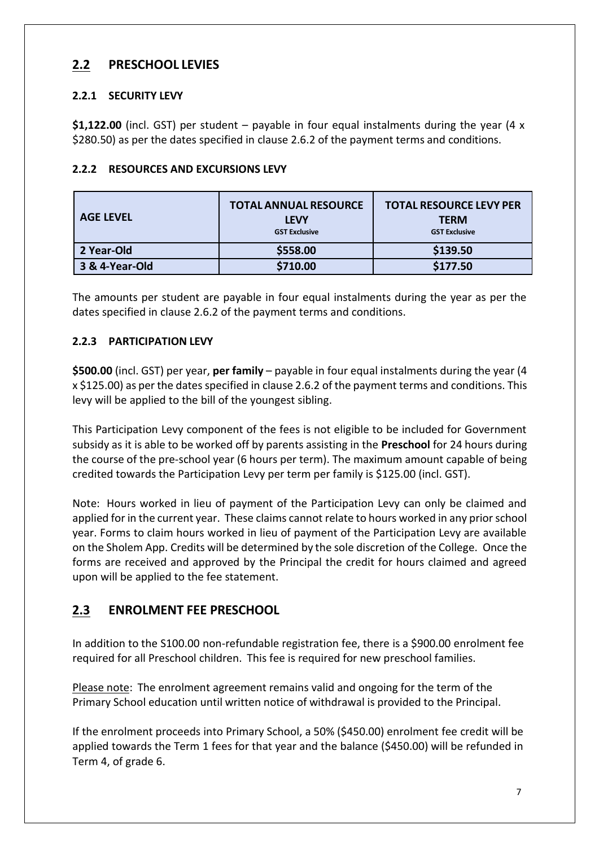### **2.2 PRESCHOOL LEVIES**

#### **2.2.1 SECURITY LEVY**

**\$1,122.00** (incl. GST) per student – payable in four equal instalments during the year (4 x \$280.50) as per the dates specified in clause 2.6.2 of the payment terms and conditions.

|  | ____  _____.__ |  |
|--|----------------|--|
|  |                |  |

|  | 2.2.2 RESOURCES AND EXCURSIONS LEVY |  |  |  |  |
|--|-------------------------------------|--|--|--|--|
|--|-------------------------------------|--|--|--|--|

| <b>AGE LEVEL</b> | <b>TOTAL ANNUAL RESOURCE</b><br><b>LEVY</b><br><b>GST Exclusive</b> | <b>TOTAL RESOURCE LEVY PER</b><br><b>TERM</b><br><b>GST Exclusive</b> |
|------------------|---------------------------------------------------------------------|-----------------------------------------------------------------------|
| 2 Year-Old       | \$558.00                                                            | \$139.50                                                              |
| 3 & 4-Year-Old   | \$710.00                                                            | \$177.50                                                              |

The amounts per student are payable in four equal instalments during the year as per the dates specified in clause 2.6.2 of the payment terms and conditions.

#### **2.2.3 PARTICIPATION LEVY**

**\$500.00** (incl. GST) per year, **per family** – payable in four equal instalments during the year (4 x \$125.00) as per the dates specified in clause 2.6.2 of the payment terms and conditions. This levy will be applied to the bill of the youngest sibling.

This Participation Levy component of the fees is not eligible to be included for Government subsidy as it is able to be worked off by parents assisting in the **Preschool** for 24 hours during the course of the pre-school year (6 hours per term). The maximum amount capable of being credited towards the Participation Levy per term per family is \$125.00 (incl. GST).

Note: Hours worked in lieu of payment of the Participation Levy can only be claimed and applied for in the current year. These claims cannot relate to hours worked in any prior school year. Forms to claim hours worked in lieu of payment of the Participation Levy are available on the Sholem App. Credits will be determined by the sole discretion of the College. Once the forms are received and approved by the Principal the credit for hours claimed and agreed upon will be applied to the fee statement.

### **2.3 ENROLMENT FEE PRESCHOOL**

In addition to the S100.00 non-refundable registration fee, there is a \$900.00 enrolment fee required for all Preschool children. This fee is required for new preschool families.

Please note: The enrolment agreement remains valid and ongoing for the term of the Primary School education until written notice of withdrawal is provided to the Principal.

If the enrolment proceeds into Primary School, a 50% (\$450.00) enrolment fee credit will be applied towards the Term 1 fees for that year and the balance (\$450.00) will be refunded in Term 4, of grade 6.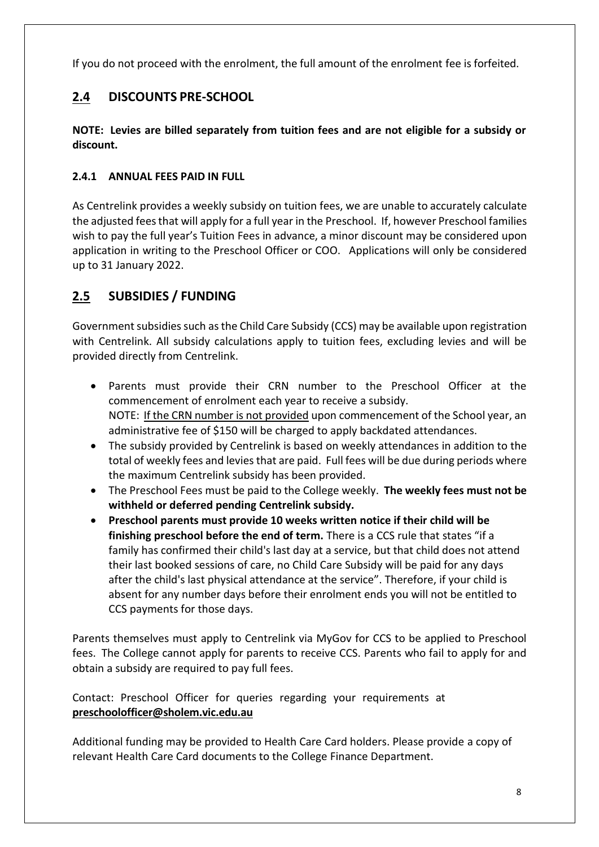If you do not proceed with the enrolment, the full amount of the enrolment fee is forfeited.

### **2.4 DISCOUNTS PRE-SCHOOL**

**NOTE: Levies are billed separately from tuition fees and are not eligible for a subsidy or discount.**

#### **2.4.1 ANNUAL FEES PAID IN FULL**

As Centrelink provides a weekly subsidy on tuition fees, we are unable to accurately calculate the adjusted feesthat will apply for a full year in the Preschool. If, however Preschool families wish to pay the full year's Tuition Fees in advance, a minor discount may be considered upon application in writing to the Preschool Officer or COO. Applications will only be considered up to 31 January 2022.

### **2.5 SUBSIDIES / FUNDING**

Government subsidies such as the Child Care Subsidy (CCS) may be available upon registration with Centrelink. All subsidy calculations apply to tuition fees, excluding levies and will be provided directly from Centrelink.

- Parents must provide their CRN number to the Preschool Officer at the commencement of enrolment each year to receive a subsidy. NOTE: If the CRN number is not provided upon commencement of the School year, an administrative fee of \$150 will be charged to apply backdated attendances.
- The subsidy provided by Centrelink is based on weekly attendances in addition to the total of weekly fees and levies that are paid. Full fees will be due during periods where the maximum Centrelink subsidy has been provided.
- The Preschool Fees must be paid to the College weekly. **The weekly fees must not be withheld or deferred pending Centrelink subsidy.**
- **Preschool parents must provide 10 weeks written notice if their child will be finishing preschool before the end of term.** There is a CCS rule that states "if a family has confirmed their child's last day at a service, but that child does not attend their last booked sessions of care, no Child Care Subsidy will be paid for any days after the child's last physical attendance at the service". Therefore, if your child is absent for any number days before their enrolment ends you will not be entitled to CCS payments for those days.

Parents themselves must apply to Centrelink via MyGov for CCS to be applied to Preschool fees. The College cannot apply for parents to receive CCS. Parents who fail to apply for and obtain a subsidy are required to pay full fees.

Contact: Preschool Officer for queries regarding your requirements at **[preschoolofficer@sholem.vic.edu.au](mailto:preschoolofficer@sholem.vic.edu.au)**

Additional funding may be provided to Health Care Card holders. Please provide a copy of relevant Health Care Card documents to the College Finance Department.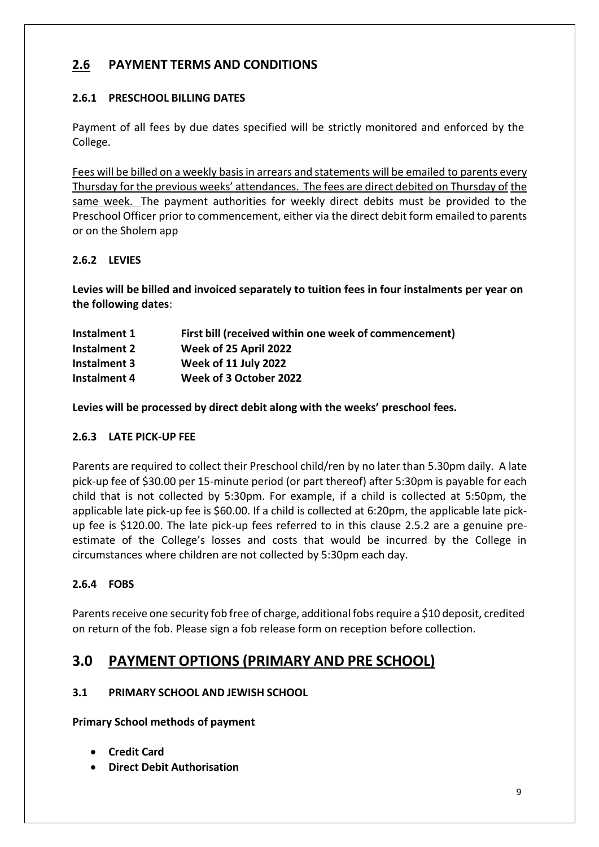### **2.6 PAYMENT TERMS AND CONDITIONS**

#### **2.6.1 PRESCHOOL BILLING DATES**

Payment of all fees by due dates specified will be strictly monitored and enforced by the College.

Fees will be billed on a weekly basisin arrears and statements will be emailed to parents every Thursday for the previous weeks' attendances. The fees are direct debited on Thursday of the same week. The payment authorities for weekly direct debits must be provided to the Preschool Officer prior to commencement, either via the direct debit form emailed to parents or on the Sholem app

#### **2.6.2 LEVIES**

**Levies will be billed and invoiced separately to tuition fees in four instalments per year on the following dates**:

| Instalment 1 | First bill (received within one week of commencement) |
|--------------|-------------------------------------------------------|
| Instalment 2 | Week of 25 April 2022                                 |
| Instalment 3 | Week of 11 July 2022                                  |
| Instalment 4 | Week of 3 October 2022                                |

**Levies will be processed by direct debit along with the weeks' preschool fees.**

#### **2.6.3 LATE PICK-UP FEE**

Parents are required to collect their Preschool child/ren by no later than 5.30pm daily. A late pick-up fee of \$30.00 per 15-minute period (or part thereof) after 5:30pm is payable for each child that is not collected by 5:30pm. For example, if a child is collected at 5:50pm, the applicable late pick-up fee is \$60.00. If a child is collected at 6:20pm, the applicable late pickup fee is \$120.00. The late pick-up fees referred to in this clause 2.5.2 are a genuine preestimate of the College's losses and costs that would be incurred by the College in circumstances where children are not collected by 5:30pm each day.

#### **2.6.4 FOBS**

Parents receive one security fob free of charge, additional fobs require a \$10 deposit, credited on return of the fob. Please sign a fob release form on reception before collection.

### **3.0 PAYMENT OPTIONS (PRIMARY AND PRE SCHOOL)**

#### **3.1 PRIMARY SCHOOL AND JEWISH SCHOOL**

**Primary School methods of payment**

- **Credit Card**
- **Direct Debit Authorisation**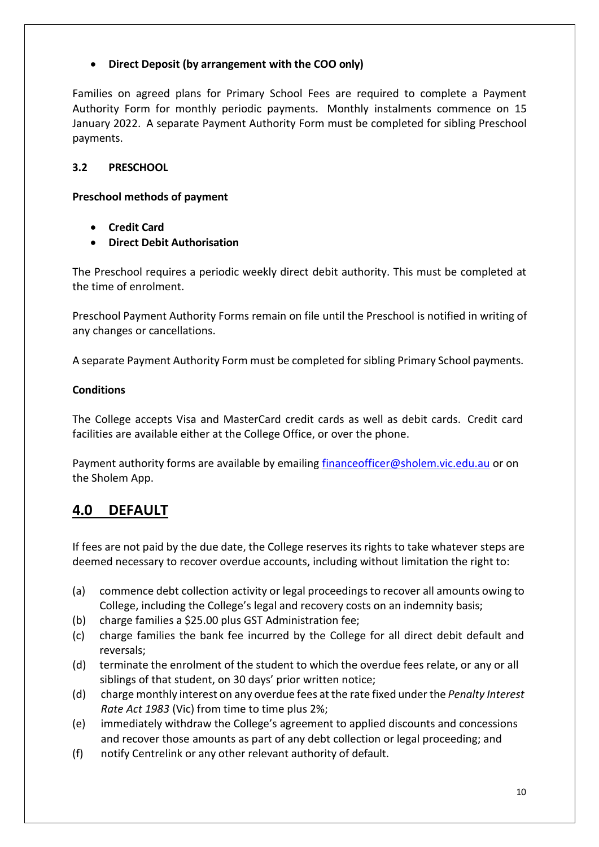#### • **Direct Deposit (by arrangement with the COO only)**

Families on agreed plans for Primary School Fees are required to complete a Payment Authority Form for monthly periodic payments. Monthly instalments commence on 15 January 2022. A separate Payment Authority Form must be completed for sibling Preschool payments.

#### **3.2 PRESCHOOL**

#### **Preschool methods of payment**

- **Credit Card**
- **Direct Debit Authorisation**

The Preschool requires a periodic weekly direct debit authority. This must be completed at the time of enrolment.

Preschool Payment Authority Forms remain on file until the Preschool is notified in writing of any changes or cancellations.

A separate Payment Authority Form must be completed for sibling Primary School payments.

#### **Conditions**

The College accepts Visa and MasterCard credit cards as well as debit cards. Credit card facilities are available either at the College Office, or over the phone.

Payment authority forms are available by emailing [financeofficer@sholem.vic.edu.au](mailto:financeofficer@sholem.vic.edu.au) or on the Sholem App.

# **4.0 DEFAULT**

If fees are not paid by the due date, the College reserves its rights to take whatever steps are deemed necessary to recover overdue accounts, including without limitation the right to:

- (a) commence debt collection activity or legal proceedings to recover all amounts owing to College, including the College's legal and recovery costs on an indemnity basis;
- (b) charge families a \$25.00 plus GST Administration fee;
- (c) charge families the bank fee incurred by the College for all direct debit default and reversals;
- (d) terminate the enrolment of the student to which the overdue fees relate, or any or all siblings of that student, on 30 days' prior written notice;
- (d) charge monthly interest on any overdue fees atthe rate fixed under the *Penalty Interest Rate Act 1983* (Vic) from time to time plus 2%;
- (e) immediately withdraw the College's agreement to applied discounts and concessions and recover those amounts as part of any debt collection or legal proceeding; and
- (f) notify Centrelink or any other relevant authority of default.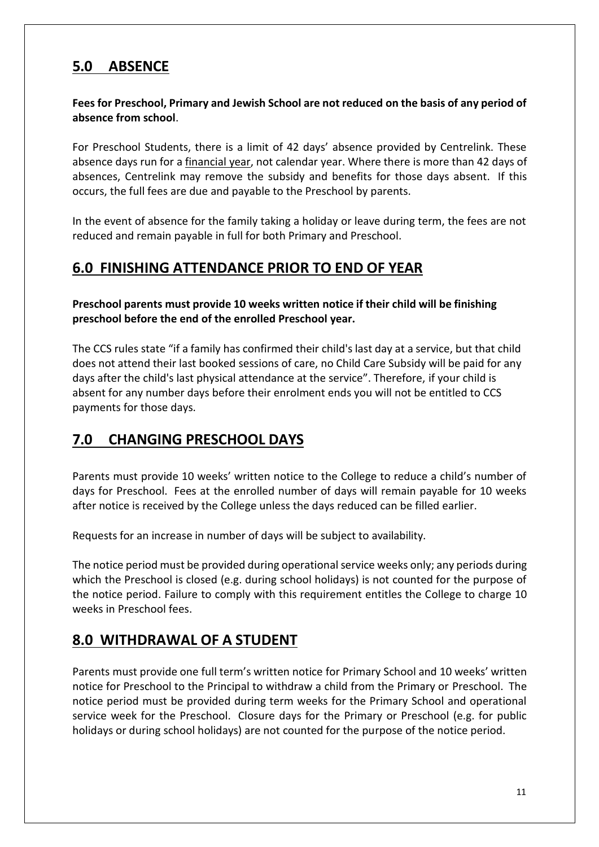# **5.0 ABSENCE**

#### **Fees for Preschool, Primary and Jewish School are not reduced on the basis of any period of absence from school**.

For Preschool Students, there is a limit of 42 days' absence provided by Centrelink. These absence days run for a financial year, not calendar year. Where there is more than 42 days of absences, Centrelink may remove the subsidy and benefits for those days absent. If this occurs, the full fees are due and payable to the Preschool by parents.

In the event of absence for the family taking a holiday or leave during term, the fees are not reduced and remain payable in full for both Primary and Preschool.

# **6.0 FINISHING ATTENDANCE PRIOR TO END OF YEAR**

**Preschool parents must provide 10 weeks written notice if their child will be finishing preschool before the end of the enrolled Preschool year.**

The CCS rules state "if a family has confirmed their child's last day at a service, but that child does not attend their last booked sessions of care, no Child Care Subsidy will be paid for any days after the child's last physical attendance at the service". Therefore, if your child is absent for any number days before their enrolment ends you will not be entitled to CCS payments for those days.

# **7.0 CHANGING PRESCHOOL DAYS**

Parents must provide 10 weeks' written notice to the College to reduce a child's number of days for Preschool. Fees at the enrolled number of days will remain payable for 10 weeks after notice is received by the College unless the days reduced can be filled earlier.

Requests for an increase in number of days will be subject to availability.

The notice period must be provided during operational service weeks only; any periods during which the Preschool is closed (e.g. during school holidays) is not counted for the purpose of the notice period. Failure to comply with this requirement entitles the College to charge 10 weeks in Preschool fees.

# **8.0 WITHDRAWAL OF A STUDENT**

Parents must provide one full term's written notice for Primary School and 10 weeks' written notice for Preschool to the Principal to withdraw a child from the Primary or Preschool. The notice period must be provided during term weeks for the Primary School and operational service week for the Preschool. Closure days for the Primary or Preschool (e.g. for public holidays or during school holidays) are not counted for the purpose of the notice period.